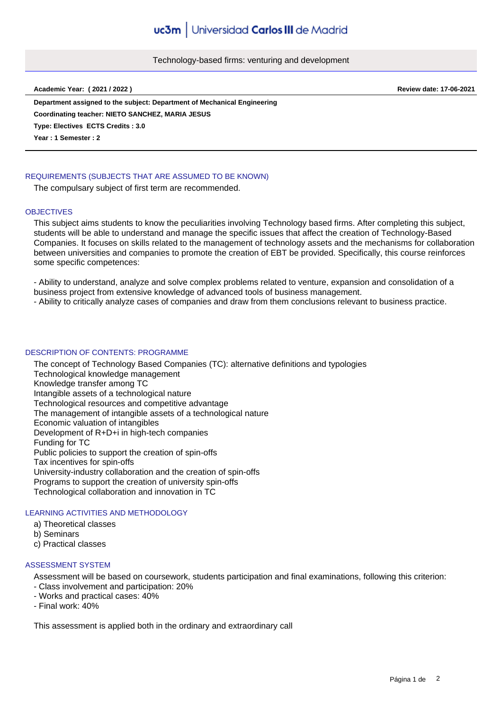## Technology-based firms: venturing and development

**Academic Year: ( 2021 / 2022 ) Review date: 17-06-2021**

**Department assigned to the subject: Department of Mechanical Engineering Type: Electives ECTS Credits : 3.0 Year : 1 Semester : 2 Coordinating teacher: NIETO SANCHEZ, MARIA JESUS**

## REQUIREMENTS (SUBJECTS THAT ARE ASSUMED TO BE KNOWN)

The compulsary subject of first term are recommended.

### **OBJECTIVES**

This subject aims students to know the peculiarities involving Technology based firms. After completing this subject, students will be able to understand and manage the specific issues that affect the creation of Technology-Based Companies. It focuses on skills related to the management of technology assets and the mechanisms for collaboration between universities and companies to promote the creation of EBT be provided. Specifically, this course reinforces some specific competences:

- Ability to understand, analyze and solve complex problems related to venture, expansion and consolidation of a business project from extensive knowledge of advanced tools of business management.

- Ability to critically analyze cases of companies and draw from them conclusions relevant to business practice.

## DESCRIPTION OF CONTENTS: PROGRAMME

The concept of Technology Based Companies (TC): alternative definitions and typologies Technological knowledge management Knowledge transfer among TC Intangible assets of a technological nature Technological resources and competitive advantage The management of intangible assets of a technological nature Economic valuation of intangibles Development of R+D+i in high-tech companies Funding for TC Public policies to support the creation of spin-offs Tax incentives for spin-offs University-industry collaboration and the creation of spin-offs Programs to support the creation of university spin-offs Technological collaboration and innovation in TC

# LEARNING ACTIVITIES AND METHODOLOGY

- a) Theoretical classes
- b) Seminars
- c) Practical classes

#### ASSESSMENT SYSTEM

Assessment will be based on coursework, students participation and final examinations, following this criterion: - Class involvement and participation: 20%

- Works and practical cases: 40%
- Final work: 40%

This assessment is applied both in the ordinary and extraordinary call